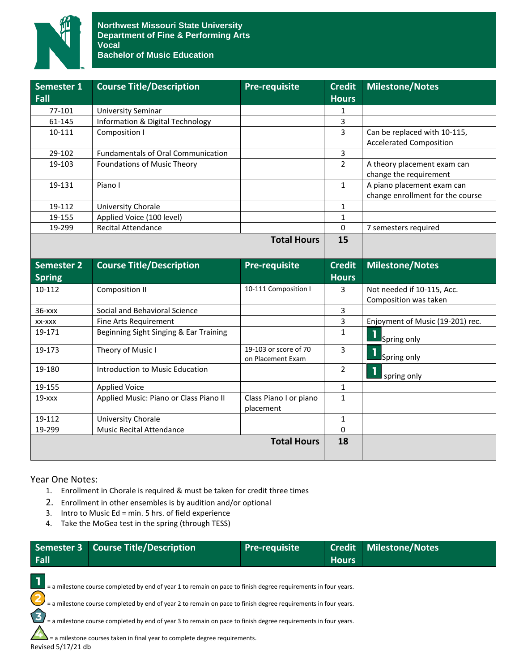

| Semester 1<br>Fall | <b>Course Title/Description</b>           | <b>Pre-requisite</b>                       | <b>Credit</b><br><b>Hours</b> | <b>Milestone/Notes</b>           |
|--------------------|-------------------------------------------|--------------------------------------------|-------------------------------|----------------------------------|
| 77-101             | <b>University Seminar</b>                 |                                            | 1                             |                                  |
| 61-145             | Information & Digital Technology          |                                            | $\overline{3}$                |                                  |
| 10-111             | Composition I                             |                                            | 3                             | Can be replaced with 10-115,     |
|                    |                                           |                                            |                               | <b>Accelerated Composition</b>   |
| 29-102             | <b>Fundamentals of Oral Communication</b> |                                            | 3                             |                                  |
| 19-103             | Foundations of Music Theory               |                                            | $\overline{2}$                | A theory placement exam can      |
|                    |                                           |                                            |                               | change the requirement           |
| 19-131             | Piano I                                   |                                            | $\mathbf{1}$                  | A piano placement exam can       |
|                    |                                           |                                            |                               | change enrollment for the course |
| 19-112             | University Chorale                        |                                            | 1                             |                                  |
| 19-155             | Applied Voice (100 level)                 |                                            | $\mathbf{1}$                  |                                  |
| 19-299             | <b>Recital Attendance</b>                 |                                            | 0                             | 7 semesters required             |
|                    |                                           | <b>Total Hours</b>                         | 15                            |                                  |
| <b>Semester 2</b>  | <b>Course Title/Description</b>           | <b>Pre-requisite</b>                       | <b>Credit</b>                 | <b>Milestone/Notes</b>           |
| <b>Spring</b>      |                                           |                                            | <b>Hours</b>                  |                                  |
| 10-112             | <b>Composition II</b>                     | 10-111 Composition I                       | 3                             | Not needed if 10-115, Acc.       |
|                    |                                           |                                            |                               | Composition was taken            |
| $36  xxx$          | Social and Behavioral Science             |                                            | 3                             |                                  |
| XX-XXX             | <b>Fine Arts Requirement</b>              |                                            | 3                             | Enjoyment of Music (19-201) rec. |
| 19-171             | Beginning Sight Singing & Ear Training    |                                            | $\mathbf{1}$                  | Spring only                      |
| 19-173             | Theory of Music I                         | 19-103 or score of 70<br>on Placement Exam | $\overline{3}$                | Spring only                      |
| 19-180             | <b>Introduction to Music Education</b>    |                                            | $\overline{2}$                | spring only                      |
| 19-155             | <b>Applied Voice</b>                      |                                            | $\mathbf{1}$                  |                                  |
| $19  xxx$          | Applied Music: Piano or Class Piano II    | Class Piano I or piano                     | $\mathbf{1}$                  |                                  |
|                    |                                           | placement                                  |                               |                                  |
| 19-112             | University Chorale                        |                                            | $\mathbf{1}$                  |                                  |
| 19-299             | <b>Music Recital Attendance</b>           |                                            | $\Omega$                      |                                  |
|                    |                                           | <b>Total Hours</b>                         | 18                            |                                  |

#### Year One Notes:

- 1. Enrollment in Chorale is required & must be taken for credit three times
- 2. Enrollment in other ensembles is by audition and/or optional
- 3. Intro to Music Ed = min. 5 hrs. of field experience
- 4. Take the MoGea test in the spring (through TESS)

|      | Semester 3 Course Title/Description | <b>Pre-requisite</b> |       | <b>Credit Milestone/Notes</b> |
|------|-------------------------------------|----------------------|-------|-------------------------------|
| Fall |                                     |                      | Hours |                               |

1  $\overline{\mathbf{3}}$ 

= a milestone course completed by end of year 1 to remain on pace to finish degree requirements in four years.

= a milestone course completed by end of year 2 to remain on pace to finish degree requirements in four years.

= a milestone course completed by end of year 3 to remain on pace to finish degree requirements in four years.

 $\blacktriangle$  = a milestone courses taken in final year to complete degree requirements. Revised 5/17/21 db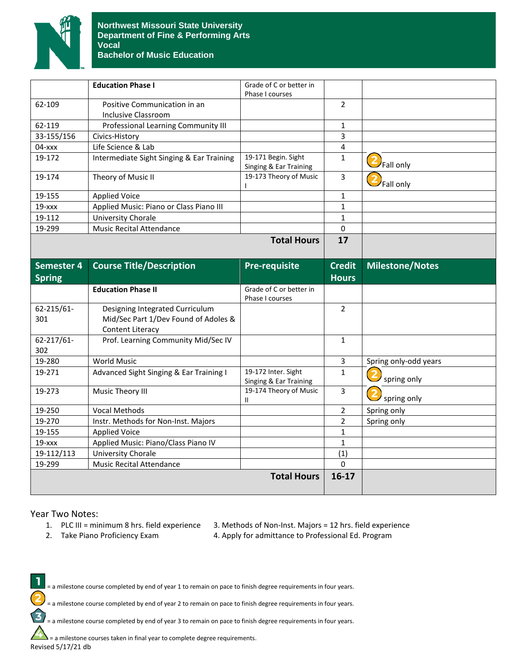

|                   | <b>Education Phase I</b>                                                | Grade of C or better in<br>Phase I courses    |                |                        |
|-------------------|-------------------------------------------------------------------------|-----------------------------------------------|----------------|------------------------|
| 62-109            | Positive Communication in an<br>Inclusive Classroom                     |                                               | $\overline{2}$ |                        |
| 62-119            | Professional Learning Community III                                     |                                               | $\mathbf{1}$   |                        |
| 33-155/156        | Civics-History                                                          |                                               | 3              |                        |
| 04-xxx            | Life Science & Lab                                                      |                                               | 4              |                        |
| 19-172            | Intermediate Sight Singing & Ear Training                               | 19-171 Begin. Sight<br>Singing & Ear Training | $\mathbf{1}$   | P <sub>Fall only</sub> |
| 19-174            | Theory of Music II                                                      | 19-173 Theory of Music                        | 3              | Fall only              |
| 19-155            | <b>Applied Voice</b>                                                    |                                               | 1              |                        |
| $19 - xxx$        | Applied Music: Piano or Class Piano III                                 |                                               | 1              |                        |
| 19-112            | University Chorale                                                      |                                               | 1              |                        |
| 19-299            | <b>Music Recital Attendance</b>                                         |                                               | $\pmb{0}$      |                        |
|                   |                                                                         | <b>Total Hours</b>                            | 17             |                        |
| Semester 4        | <b>Course Title/Description</b>                                         | <b>Pre-requisite</b>                          | <b>Credit</b>  | <b>Milestone/Notes</b> |
| <b>Spring</b>     |                                                                         |                                               | <b>Hours</b>   |                        |
|                   | <b>Education Phase II</b>                                               | Grade of C or better in<br>Phase I courses    |                |                        |
| 62-215/61-<br>301 | Designing Integrated Curriculum<br>Mid/Sec Part 1/Dev Found of Adoles & |                                               | $\overline{2}$ |                        |
| 62-217/61-        | <b>Content Literacy</b><br>Prof. Learning Community Mid/Sec IV          |                                               | 1              |                        |
| 302               |                                                                         |                                               |                |                        |
| 19-280            | <b>World Music</b>                                                      |                                               | 3              | Spring only-odd years  |
| 19-271            | Advanced Sight Singing & Ear Training I                                 | 19-172 Inter. Sight<br>Singing & Ear Training | $\mathbf{1}$   | spring only            |
| 19-273            | Music Theory III                                                        | 19-174 Theory of Music<br>$\mathbf{II}$       | 3              | spring only            |
| 19-250            | <b>Vocal Methods</b>                                                    |                                               | $\overline{2}$ | Spring only            |
| 19-270            | Instr. Methods for Non-Inst. Majors                                     |                                               | $\overline{2}$ | Spring only            |
| 19-155            | <b>Applied Voice</b>                                                    |                                               | 1              |                        |
| $19  xxx$         | Applied Music: Piano/Class Piano IV                                     |                                               | $\mathbf{1}$   |                        |
| 19-112/113        | University Chorale                                                      |                                               | (1)            |                        |
| 19-299            | <b>Music Recital Attendance</b>                                         |                                               | 0              |                        |
|                   |                                                                         | <b>Total Hours</b>                            | $16-17$        |                        |

Year Two Notes:

1

2

 $\mathbf{E}$ 

- 
- 
- 1. PLC III = minimum 8 hrs. field experience 3. Methods of Non-Inst. Majors = 12 hrs. field experience
	-
- 2. Take Piano Proficiency Exam 4. Apply for admittance to Professional Ed. Program

= a milestone course completed by end of year 1 to remain on pace to finish degree requirements in four years.

= a milestone course completed by end of year 2 to remain on pace to finish degree requirements in four years.

= a milestone course completed by end of year 3 to remain on pace to finish degree requirements in four years.

 $\sum$  = a milestone courses taken in final year to complete degree requirements. Revised 5/17/21 db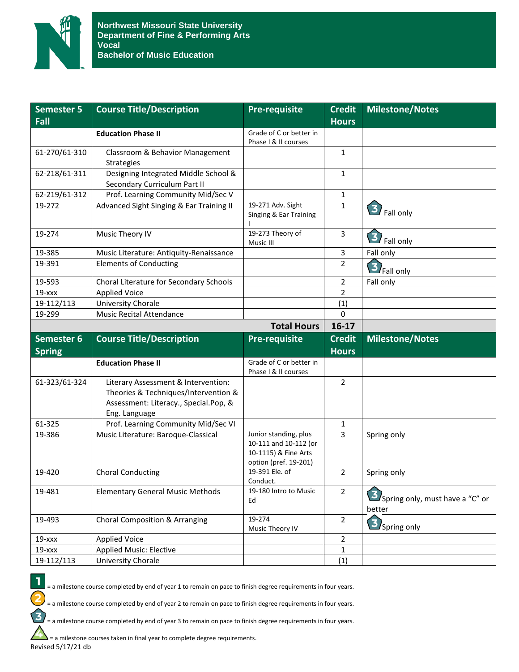

| Semester 5    | <b>Course Title/Description</b>                                                                                                       | <b>Pre-requisite</b>                                                                            | <b>Credit</b>  | <b>Milestone/Notes</b>                                                                                                                                                                                                                                                                                                                                                                                                                                           |
|---------------|---------------------------------------------------------------------------------------------------------------------------------------|-------------------------------------------------------------------------------------------------|----------------|------------------------------------------------------------------------------------------------------------------------------------------------------------------------------------------------------------------------------------------------------------------------------------------------------------------------------------------------------------------------------------------------------------------------------------------------------------------|
| Fall          |                                                                                                                                       |                                                                                                 | <b>Hours</b>   |                                                                                                                                                                                                                                                                                                                                                                                                                                                                  |
|               | <b>Education Phase II</b>                                                                                                             | Grade of C or better in<br>Phase I & II courses                                                 |                |                                                                                                                                                                                                                                                                                                                                                                                                                                                                  |
| 61-270/61-310 | Classroom & Behavior Management<br>Strategies                                                                                         |                                                                                                 | $\mathbf{1}$   |                                                                                                                                                                                                                                                                                                                                                                                                                                                                  |
| 62-218/61-311 | Designing Integrated Middle School &<br>Secondary Curriculum Part II                                                                  |                                                                                                 | $\mathbf{1}$   |                                                                                                                                                                                                                                                                                                                                                                                                                                                                  |
| 62-219/61-312 | Prof. Learning Community Mid/Sec V                                                                                                    |                                                                                                 | $\mathbf{1}$   |                                                                                                                                                                                                                                                                                                                                                                                                                                                                  |
| 19-272        | Advanced Sight Singing & Ear Training II                                                                                              | 19-271 Adv. Sight<br>Singing & Ear Training                                                     | $\mathbf{1}$   | 3 Fall only                                                                                                                                                                                                                                                                                                                                                                                                                                                      |
| 19-274        | Music Theory IV                                                                                                                       | 19-273 Theory of<br>Music III                                                                   | 3              | 3 Fall only                                                                                                                                                                                                                                                                                                                                                                                                                                                      |
| 19-385        | Music Literature: Antiquity-Renaissance                                                                                               |                                                                                                 | 3              | Fall only                                                                                                                                                                                                                                                                                                                                                                                                                                                        |
| 19-391        | <b>Elements of Conducting</b>                                                                                                         |                                                                                                 | 2              | 3 Fall only                                                                                                                                                                                                                                                                                                                                                                                                                                                      |
| 19-593        | Choral Literature for Secondary Schools                                                                                               |                                                                                                 | 2              | Fall only                                                                                                                                                                                                                                                                                                                                                                                                                                                        |
| $19  xxx$     | <b>Applied Voice</b>                                                                                                                  |                                                                                                 | 2              |                                                                                                                                                                                                                                                                                                                                                                                                                                                                  |
| 19-112/113    | University Chorale                                                                                                                    |                                                                                                 | (1)            |                                                                                                                                                                                                                                                                                                                                                                                                                                                                  |
| 19-299        | <b>Music Recital Attendance</b>                                                                                                       |                                                                                                 | $\Omega$       |                                                                                                                                                                                                                                                                                                                                                                                                                                                                  |
|               |                                                                                                                                       | <b>Total Hours</b>                                                                              | $16-17$        |                                                                                                                                                                                                                                                                                                                                                                                                                                                                  |
| Semester 6    | <b>Course Title/Description</b>                                                                                                       | <b>Pre-requisite</b>                                                                            | <b>Credit</b>  | <b>Milestone/Notes</b>                                                                                                                                                                                                                                                                                                                                                                                                                                           |
| <b>Spring</b> |                                                                                                                                       |                                                                                                 | <b>Hours</b>   |                                                                                                                                                                                                                                                                                                                                                                                                                                                                  |
|               |                                                                                                                                       |                                                                                                 |                |                                                                                                                                                                                                                                                                                                                                                                                                                                                                  |
|               | <b>Education Phase II</b>                                                                                                             | Grade of C or better in<br>Phase I & II courses                                                 |                |                                                                                                                                                                                                                                                                                                                                                                                                                                                                  |
| 61-323/61-324 | Literary Assessment & Intervention:<br>Theories & Techniques/Intervention &<br>Assessment: Literacy., Special.Pop, &<br>Eng. Language |                                                                                                 | $\overline{2}$ |                                                                                                                                                                                                                                                                                                                                                                                                                                                                  |
| 61-325        | Prof. Learning Community Mid/Sec VI                                                                                                   |                                                                                                 | 1              |                                                                                                                                                                                                                                                                                                                                                                                                                                                                  |
| 19-386        | Music Literature: Baroque-Classical                                                                                                   | Junior standing, plus<br>10-111 and 10-112 (or<br>10-1115) & Fine Arts<br>option (pref. 19-201) | 3              | Spring only                                                                                                                                                                                                                                                                                                                                                                                                                                                      |
| 19-420        | <b>Choral Conducting</b>                                                                                                              | 19-391 Ele. of<br>Conduct.                                                                      | $\overline{2}$ | Spring only                                                                                                                                                                                                                                                                                                                                                                                                                                                      |
| 19-481        | <b>Elementary General Music Methods</b>                                                                                               | 19-180 Intro to Music<br>Ed                                                                     | $\overline{2}$ | $\mathbf{B}_{\text{Spring only, must have a "C" or } \mathbf{B}_{\text{[f]}}, \mathbf{C}_{\text{[f]}}, \mathbf{C}_{\text{[f]}}, \mathbf{C}_{\text{[f]}}, \mathbf{C}_{\text{[f]}}, \mathbf{C}_{\text{[f]}}, \mathbf{C}_{\text{[f]}}, \mathbf{C}_{\text{[f]}}, \mathbf{C}_{\text{[f]}}, \mathbf{C}_{\text{[f]}}, \mathbf{C}_{\text{[f]}}, \mathbf{C}_{\text{[f]}}, \mathbf{C}_{\text{[f]}}, \mathbf{C}_{\text{[f]}}, \mathbf{C}_{\text{[f]}}, \mathbf{C$<br>better |
| 19-493        | Choral Composition & Arranging                                                                                                        | 19-274<br>Music Theory IV                                                                       | $\overline{2}$ |                                                                                                                                                                                                                                                                                                                                                                                                                                                                  |
| $19  xxx$     | <b>Applied Voice</b>                                                                                                                  |                                                                                                 | $\overline{2}$ | 3 Spring only                                                                                                                                                                                                                                                                                                                                                                                                                                                    |
| $19  xxx$     | <b>Applied Music: Elective</b>                                                                                                        |                                                                                                 | 1              |                                                                                                                                                                                                                                                                                                                                                                                                                                                                  |



= a milestone course completed by end of year 1 to remain on pace to finish degree requirements in four years.

l<br>= a milestone course completed by end of year 2 to remain on pace to finish degree requirements in four years.

 $\mathbf{B}^{\prime}$  = a milestone course completed by end of year 3 to remain on pace to finish degree requirements in four years.

 $\sum$  = a milestone courses taken in final year to complete degree requirements. Revised 5/17/21 db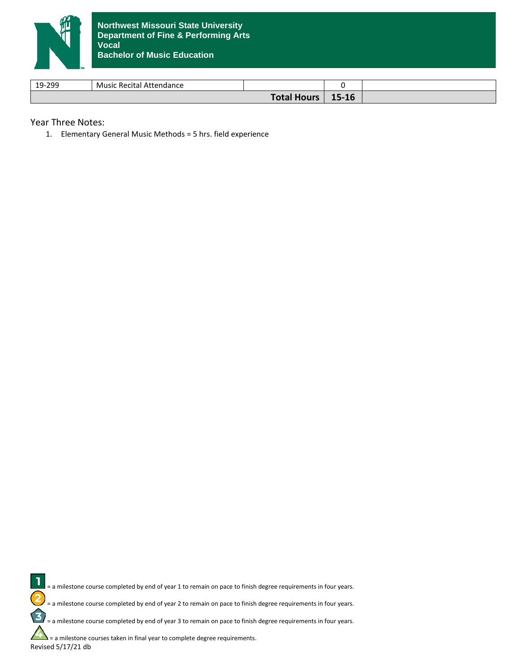

| 19-299 | Music Recital Attendance |                    |           |  |
|--------|--------------------------|--------------------|-----------|--|
|        |                          | <b>Total Hours</b> | $15 - 16$ |  |

Year Three Notes:

1. Elementary General Music Methods = 5 hrs. field experience

1 = a milestone course completed by end of year 1 to remain on pace to finish degree requirements in four years. 2 = a milestone course completed by end of year 2 to remain on pace to finish degree requirements in four years.  $\mathbf{E}$ .<br>= a milestone course completed by end of year 3 to remain on pace to finish degree requirements in four years.  $\blacktriangle$  = a milestone courses taken in final year to complete degree requirements. Revised 5/17/21 db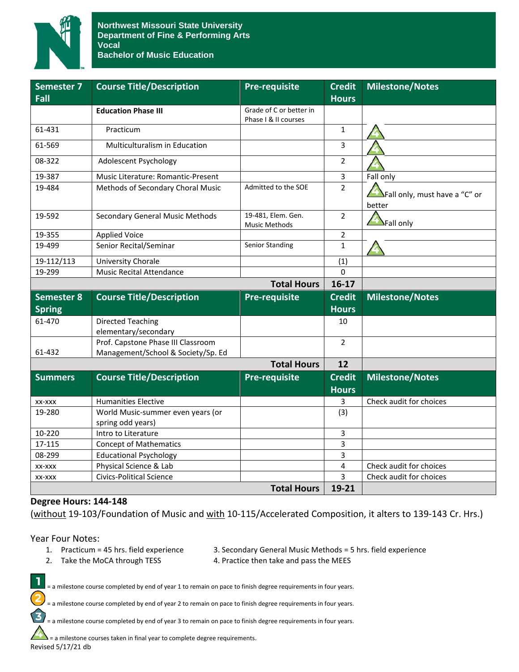

| <b>Semester 7</b><br>Fall | <b>Course Title/Description</b>                                          | <b>Pre-requisite</b>                            | <b>Credit</b><br><b>Hours</b> | <b>Milestone/Notes</b>                                   |
|---------------------------|--------------------------------------------------------------------------|-------------------------------------------------|-------------------------------|----------------------------------------------------------|
|                           | <b>Education Phase III</b>                                               | Grade of C or better in<br>Phase I & II courses |                               |                                                          |
| 61-431                    | Practicum                                                                |                                                 | $\mathbf{1}$                  |                                                          |
| 61-569                    | Multiculturalism in Education                                            |                                                 | 3                             |                                                          |
| 08-322                    | Adolescent Psychology                                                    |                                                 | $\overline{2}$                |                                                          |
| 19-387                    | Music Literature: Romantic-Present                                       |                                                 | 3                             | Fall only                                                |
| 19-484                    | Methods of Secondary Choral Music                                        | Admitted to the SOE                             | $\overline{2}$                | $\blacktriangle$ Fall only, must have a "C" or<br>better |
| 19-592                    | Secondary General Music Methods                                          | 19-481, Elem. Gen.<br><b>Music Methods</b>      | $\overline{2}$                | Fall only                                                |
| 19-355                    | <b>Applied Voice</b>                                                     |                                                 | 2                             |                                                          |
| 19-499                    | Senior Recital/Seminar                                                   | <b>Senior Standing</b>                          | $\mathbf{1}$                  |                                                          |
| 19-112/113                | University Chorale                                                       |                                                 | (1)                           |                                                          |
| 19-299                    | <b>Music Recital Attendance</b>                                          |                                                 | $\Omega$                      |                                                          |
|                           |                                                                          | <b>Total Hours</b>                              | $16-17$                       |                                                          |
| <b>Semester 8</b>         | <b>Course Title/Description</b>                                          | <b>Pre-requisite</b>                            | <b>Credit</b>                 | <b>Milestone/Notes</b>                                   |
| <b>Spring</b>             |                                                                          |                                                 | <b>Hours</b>                  |                                                          |
| 61-470                    | <b>Directed Teaching</b><br>elementary/secondary                         |                                                 | 10                            |                                                          |
| 61-432                    | Prof. Capstone Phase III Classroom<br>Management/School & Society/Sp. Ed |                                                 | $\overline{2}$                |                                                          |
|                           |                                                                          | <b>Total Hours</b>                              | 12                            |                                                          |
| <b>Summers</b>            | <b>Course Title/Description</b>                                          | <b>Pre-requisite</b>                            | <b>Credit</b>                 | <b>Milestone/Notes</b>                                   |
|                           |                                                                          |                                                 | <b>Hours</b>                  |                                                          |
| XX-XXX                    | <b>Humanities Elective</b>                                               |                                                 | 3                             | Check audit for choices                                  |
| 19-280                    | World Music-summer even years (or<br>spring odd years)                   |                                                 | (3)                           |                                                          |
| 10-220                    | Intro to Literature                                                      |                                                 | 3                             |                                                          |
| 17-115                    | <b>Concept of Mathematics</b>                                            |                                                 | 3                             |                                                          |
| 08-299                    | <b>Educational Psychology</b>                                            |                                                 | 3                             |                                                          |
| XX-XXX                    | Physical Science & Lab                                                   |                                                 | 4                             | Check audit for choices                                  |
| XX-XXX                    | <b>Civics-Political Science</b>                                          |                                                 | 3                             | Check audit for choices                                  |
|                           |                                                                          | <b>Total Hours</b>                              | 19-21                         |                                                          |

#### **Degree Hours: 144-148**

(without 19-103/Foundation of Music and with 10-115/Accelerated Composition, it alters to 139-143 Cr. Hrs.)

Year Four Notes:

T

2

 $\mathbf{3}$ 

- 
- 2. Take the MoCA through TESS 4. Practice then take and pass the MEES
- 1. Practicum = 45 hrs. field experience 3. Secondary General Music Methods = 5 hrs. field experience
	-

= a milestone course completed by end of year 1 to remain on pace to finish degree requirements in four years.

= a milestone course completed by end of year 2 to remain on pace to finish degree requirements in four years.

= a milestone course completed by end of year 3 to remain on pace to finish degree requirements in four years.

= a milestone courses taken in final year to complete degree requirements. Revised 5/17/21 db